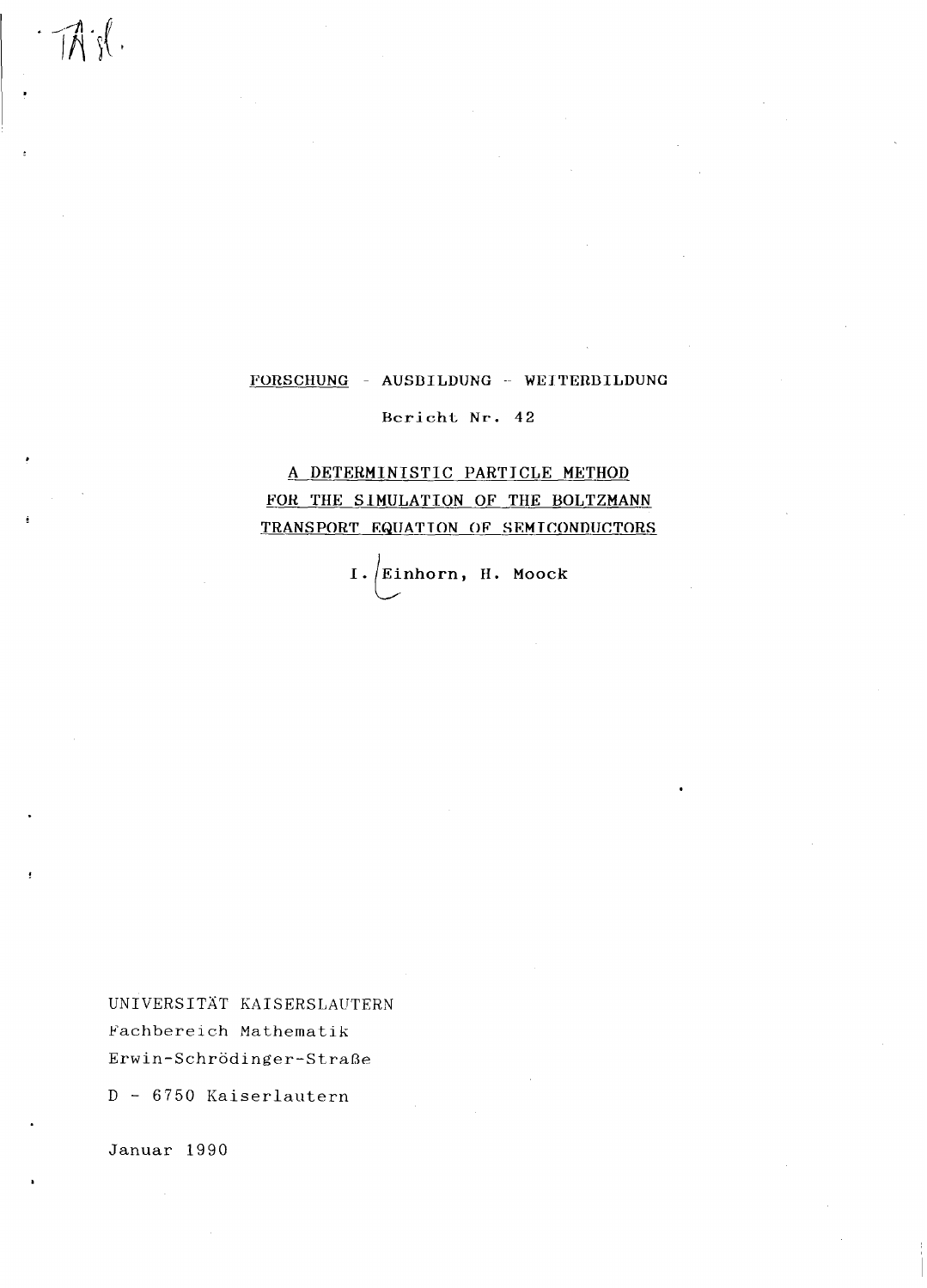#### FORSCHUNG - AUSBILDUNG - WEITERBILDUNG

Bericht Nr. 42

# A DETERMINISTIC PARTICLE METHOD FOR THE SIMULATION OF THE BOLTZMANN TRANSPORT EQUATION OF SEMICONDUCTORS

I. Einhorn, H. Moock i,

UNIVERSITAT KAISERSLAUTERN Fachbereich Mathematik Erwin-Schrödinger-Straße

D- 6750 Kaiserlautern

Januar 1990

.

 $\exists \vec{A}$  is  $\emptyset$ .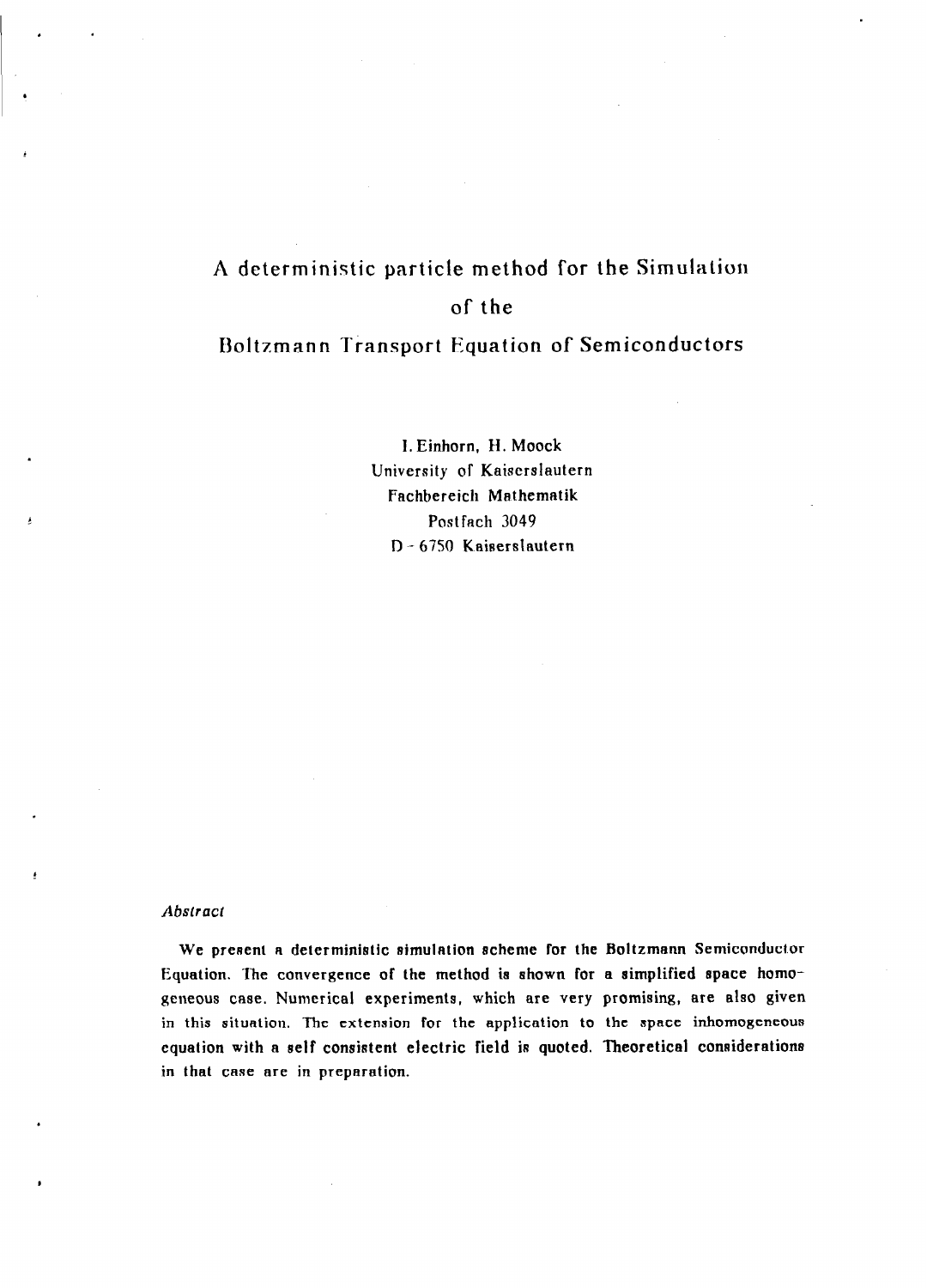# A deterministic particle method for the Simulation of the

## Boltzmann Transport Equation of Semiconductors

I. Einhorn, H. Moock University of Kaiscrslautern Fachbereich Mathematik Postfach 3049 D-6750 Kaiserslautern

#### Abstract

We present a deterministic simulation scheme for the Boltzmann Semiconductor Equation. The convergence of the method ia ahown for a simplified space homogeneous case. Numerical experiments, which are very promising, are also given in this situation. The extension for the application to the apace inhomogeneous equation with a self consistent electric field is quoted. Theoretical considerations in that case are in preparation.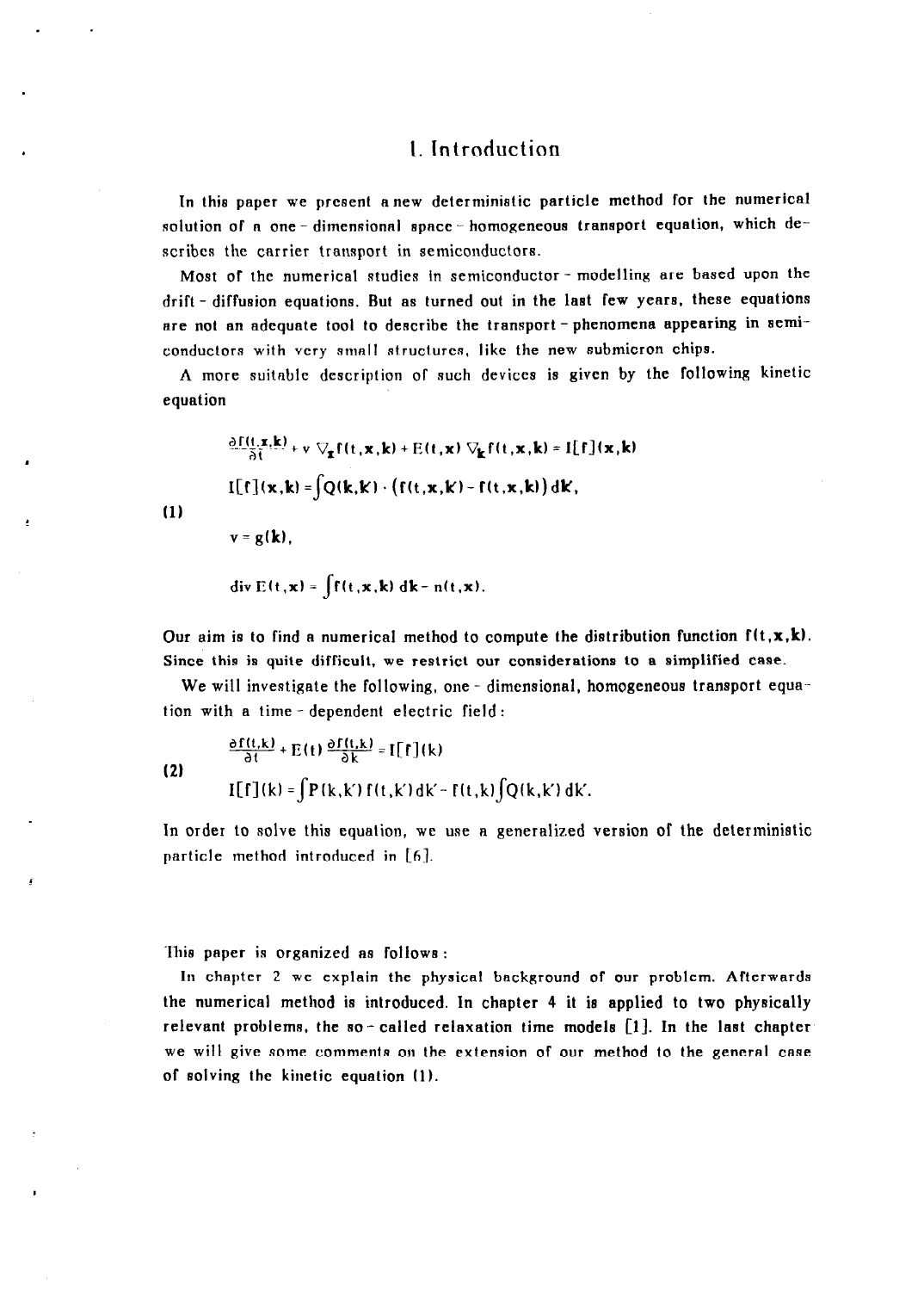## 1. Introduction

In this paper we pre8ent anew deterministic particle method for the numerical solution of a one - dimensional space - homogeneous transport equation, which describes the carrier transport in semiconductors.

Most of the numerical studies in semiconductor - modelling are based upon the drift - diffusion equations. But as turned out in the last few years, these equations are not an adequate tool to describe the transport-phenomena appearing in semiconductors with very small structures, like the new submicron chips.

A more suitable description of such devices is given by the following kinetic equation

$$
\frac{\partial f(t, \mathbf{x}, \mathbf{k})}{\partial t} + \mathbf{v} \nabla_{\mathbf{x}} f(t, \mathbf{x}, \mathbf{k}) + E(t, \mathbf{x}) \nabla_{\mathbf{k}} f(t, \mathbf{x}, \mathbf{k}) = I[f](\mathbf{x}, \mathbf{k})
$$

$$
I[f](\mathbf{x}, \mathbf{k}) = \int Q(\mathbf{k}, \mathbf{k}) \cdot (f(t, \mathbf{x}, \mathbf{k}) - f(t, \mathbf{x}, \mathbf{k})) d\mathbf{k},
$$

(1)

$$
v = g(k),
$$

$$
\text{div } \mathbf{E}(\mathbf{t}, \mathbf{x}) = \int f(\mathbf{t}, \mathbf{x}, \mathbf{k}) \, d\mathbf{k} - \mathbf{n}(\mathbf{t}, \mathbf{x}).
$$

Our aim is to find a numerical method to compute the distribution function  $f(t, x, k)$ . Since this is quite difficult, we restrict our considerations to a simplified case.

We will investigate the following, one  $-$  dimensional, homogeneous transport equa-tion with a time - dependent electric field :

(2)  
\n
$$
\frac{\partial f(t,k)}{\partial t} + E(t) \frac{\partial f(t,k)}{\partial k} = I[f](k)
$$
\n
$$
I[f](k) = \int P(k,k') f(t,k')dk' - f(t,k) \int Q(k,k')dk'.
$$

In order to solve this equation, we use a generalized version of the deterministic particle method introduced in  $[6]$ .

lhie paper is organized a8 follow8 :

In chapter 2 we explain the physical background of our problem. Afterwards the numerical method is introduced. In chapter 4 it ie applied to two physically relevant probleme, the so- called relaxation time model8 [l]. In the last chapter we will give some comments on the extension of our method to the general case of solving the kinetic equation (1).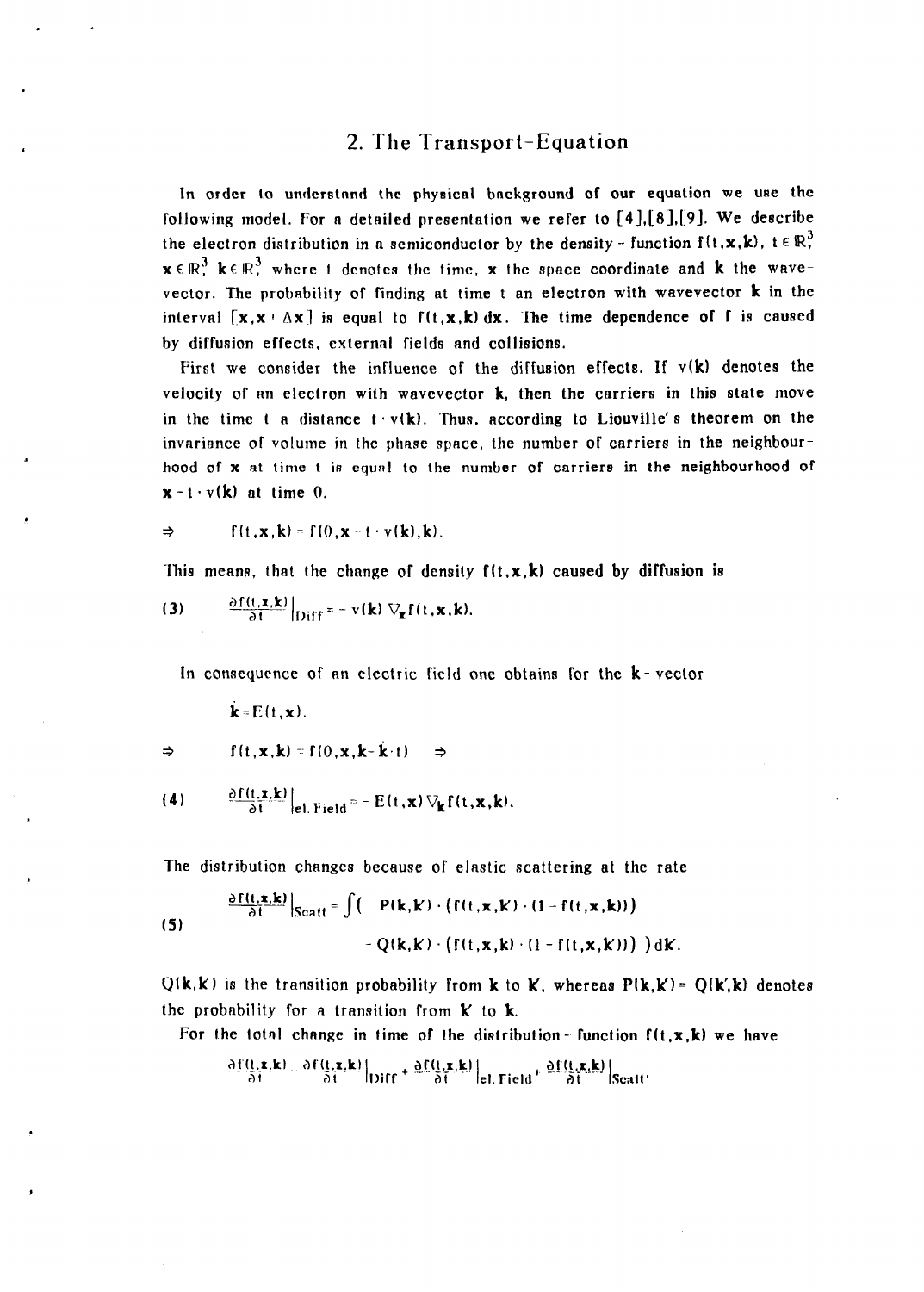#### 2. The Transport-Equation

In order to understand the physical background of our equation we use the following model. For a detailed presentation we refer to  $[4],[8],[9]$ . We describe the electron distribution in a semiconductor by the density - function  $f(t, x, k)$ ,  $t \in \mathbb{R}^3$ .  $x \in \mathbb{R}^3$  ke  $\mathbb{R}^3$ , where t denotes the time, x the space coordinate and k the wavevector. The probability of finding at time t an electron with wavevector k in the interval  $[x, x + \Delta x]$  is equal to  $f(t, x, k) dx$ . The time dependence of f is caused by diffusion effects, external fields and collisions.

First we consider the influence of the diffusion effects. If  $v(k)$  denotes the velocity of an electron with wavevector  $k$ , then the carriers in this state move in the time t a distance  $t \cdot v(k)$ . Thus, according to Liouville's theorem on the invariance of volume in the phase space, the number of carriers in the neighbourhood of x at time t is equnl to the number of carriers in the neighbourhood of  $x-t \cdot v(k)$  at time 0.

$$
\Rightarrow \qquad f(t, x, k) = f(0, x - t \cdot v(k), k).
$$

This means, that the change of density  $f(t, x, k)$  caused by diffusion is

(3) 
$$
\frac{\partial f(t, x, k)}{\partial t}\Big|_{Diff} = -v(k) \nabla_{x} f(t, x, k).
$$

In consequence of an electric field one obtains for the  $k$ -vector

 $\mathbf{k}$ = $E(t,\mathbf{x})$ .

$$
\Rightarrow \qquad f(t, \mathbf{x}, \mathbf{k}) = f(0, \mathbf{x}, \mathbf{k} - \mathbf{k} \cdot t) \Rightarrow
$$

(4) 
$$
\frac{\partial f(t, x, k)}{\partial t}\Big|_{e, \text{Field}} = - E(t, x) \nabla_k f(t, x, k).
$$

The distribution changes because of elastic scattering at the rate

(5) 
$$
\frac{\partial f(t, x, k)}{\partial t} \Big|_{\text{Scatt}} = \int \Big( P(k, k) \cdot \big( f(t, x, k) \cdot (1 - f(t, x, k)) \Big) - Q(k, k) \cdot \big( f(t, x, k) \cdot (1 - f(t, x, k)) \big) \Big) dk.
$$

 $Q(k,k)$  is the transition probability from k to K, whereas  $P(k,k) = Q(k,k)$  denotes the probability for a transition from  $k$  to  $k$ .

For the total change in time of the distribution-function  $f(t, x, k)$  we have

$$
\frac{\partial f(t,x,k)}{\partial t} = \frac{\partial f(t,x,k)}{\partial t}\Big|_{\text{Diff}} + \frac{\partial f(t,x,k)}{\partial t}\Big|_{\text{el. Field}} + \frac{\partial f(t,x,k)}{\partial t}\Big|_{\text{Scatt}}
$$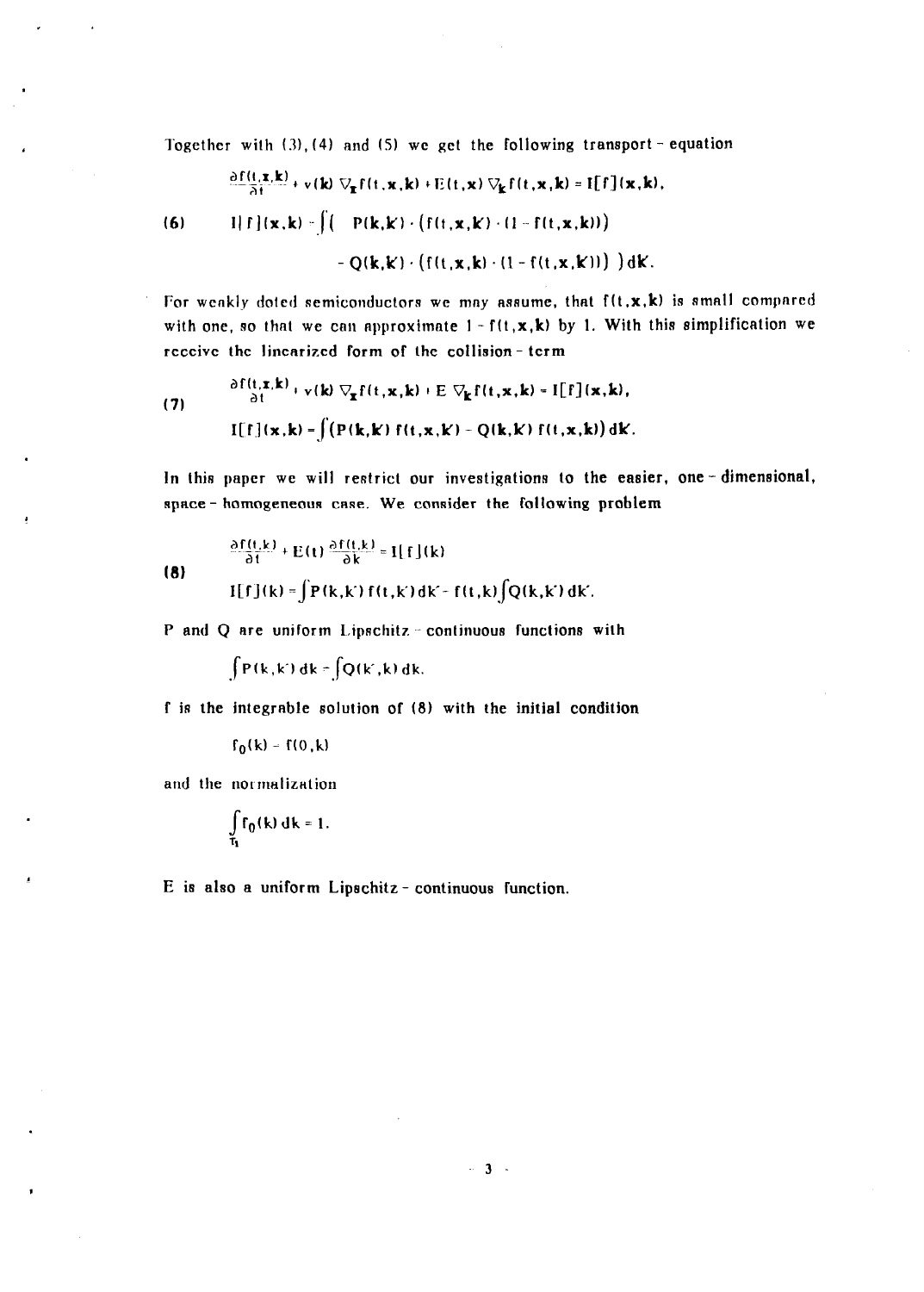Together with  $(3)$ ,  $(4)$  and  $(5)$  we get the following transport - equation

$$
\frac{\partial f(t,\mathbf{x},\mathbf{k})}{\partial t} + \mathbf{v}(\mathbf{k}) \nabla_{\mathbf{x}} f(t,\mathbf{x},\mathbf{k}) + E(t,\mathbf{x}) \nabla_{\mathbf{k}} f(t,\mathbf{x},\mathbf{k}) = \mathbf{I}[f](\mathbf{x},\mathbf{k}),
$$

$$
(6) \qquad \qquad \text{if } f(x,k) = \left( \left( \text{P}(k,k) \cdot \left( f(t,x,k) \cdot (1 - f(t,x,k)) \right) \right) \right)
$$

$$
-Q(\mathbf{k},\mathbf{k}) \cdot (f(t,\mathbf{x},\mathbf{k}) \cdot (1 - f(t,\mathbf{x},\mathbf{k}))) ) d\mathbf{k}.
$$

For weakly doted semiconductors we may assume, that  $f(t,x,k)$  is small compared with one, so that we can approximate  $1 - f(t, x, k)$  by 1. With this simplification we receive the linearized form of lhe collision- term

(7) 
$$
\frac{\partial f(t, x, k)}{\partial t} + v(k) \nabla_{x} f(t, x, k) + E \nabla_{k} f(t, x, k) = I[f](x, k),
$$

$$
I[f](x, k) = \int (P(k, k) f(t, x, k) - Q(k, k) f(t, x, k)) dk.
$$

In this paper we will restrict our investigations to the easier, one-dimensional, space - homogeneous case. We consider the following problem

(8)  
\n
$$
\frac{\partial f(t,k)}{\partial t} + E(t) \frac{\partial f(t,k)}{\partial k} = I[f](k)
$$
\n
$$
I[f](k) = \int P(k,k) f(t,k) dk - f(t,k) \int Q(k,k) dk.
$$

P and Q are uniform  $Lipschitz$  - continuous functions with

 $\int P(k,k') dk = \int Q(k',k) dk.$ 

f is the integrable solution of (8) with the initial condition

 $f_0(k) = f(0,k)$ 

and the normalization

 $\bullet$ 

$$
\int_{\tau_1} f_0(k) \, dk = 1.
$$

E is also a uniform Lipechitz- continuous function.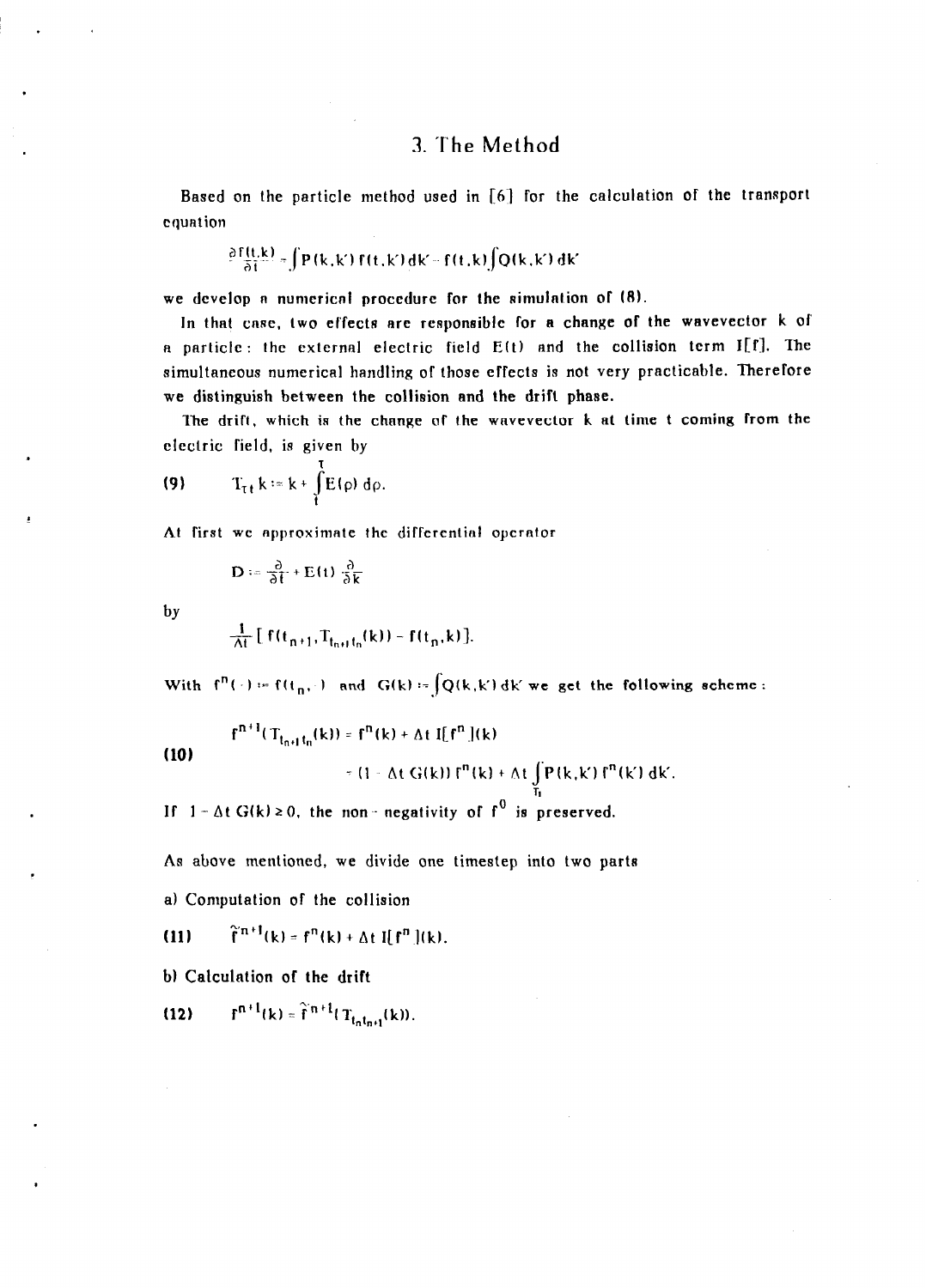## 3. The Method

Based on the particle method used in [6] for the calculation of the transport equation

$$
\frac{\partial F(t,k)}{\partial t} = \int P(k,k') F(t,k') \, dk' = f(t,k) \int Q(k,k') \, dk'
$$

we develop a numerical procedure for the  $\sin(10.8)$ .

In that case, two effects are responsible for a change of the wavevector k of a particle: the external electric field  $E(t)$  and the collision term I[f]. The simultaneous numerical handling of those effects is not very practicable. Therefore we distinguish between the collision and the drift phase.

The drift, which is the change of the wavevector k at time t coming from the electric field, is given by

$$
(9) \tT_{\tau t} k = k + \int\limits_t^t E(\rho) d\rho.
$$

At first we approximate the differential operator

$$
\mathbf{D} := \frac{\partial}{\partial t} + \mathbf{E}(t) \frac{\partial}{\partial k}
$$

by

$$
\frac{1}{\Delta t}\left[\ f(t_{n+1},T_{t_{n+1}t_n}(k))-f(t_n,k)\right].
$$

With  $f''(\cdot) = f(t_n, \cdot)$  and  $G(k) = \int Q(k, k') dk'$  we get the following scheme:

$$
f^{n+1}(T_{t_{n+1}t_n}(k)) = f^n(k) + \Delta t \ I[f^n](k)
$$
  
 
$$
= (1 - \Delta t \ G(k)) f^n(k) + \Delta t \int_{T_1}^{\Delta} P(k,k') f^n(k') dk'.
$$

If  $1 - \Delta t$  G(k)  $\ge 0$ , the non-negativity of f<sup>0</sup> is preserved.

As above mentioned, we divide one timestep into two parts

a) Computation of the collision

(11)  $\hat{f}^{n+1}(k) = f^{n}(k) + \Delta t \, \hat{f}[f^{n}](k).$ 

b) Calculation of the drift

(12)  $f^{n+1}(k) = \hat{f}^{n+1}(T_{t_n t_{n+1}}(k)).$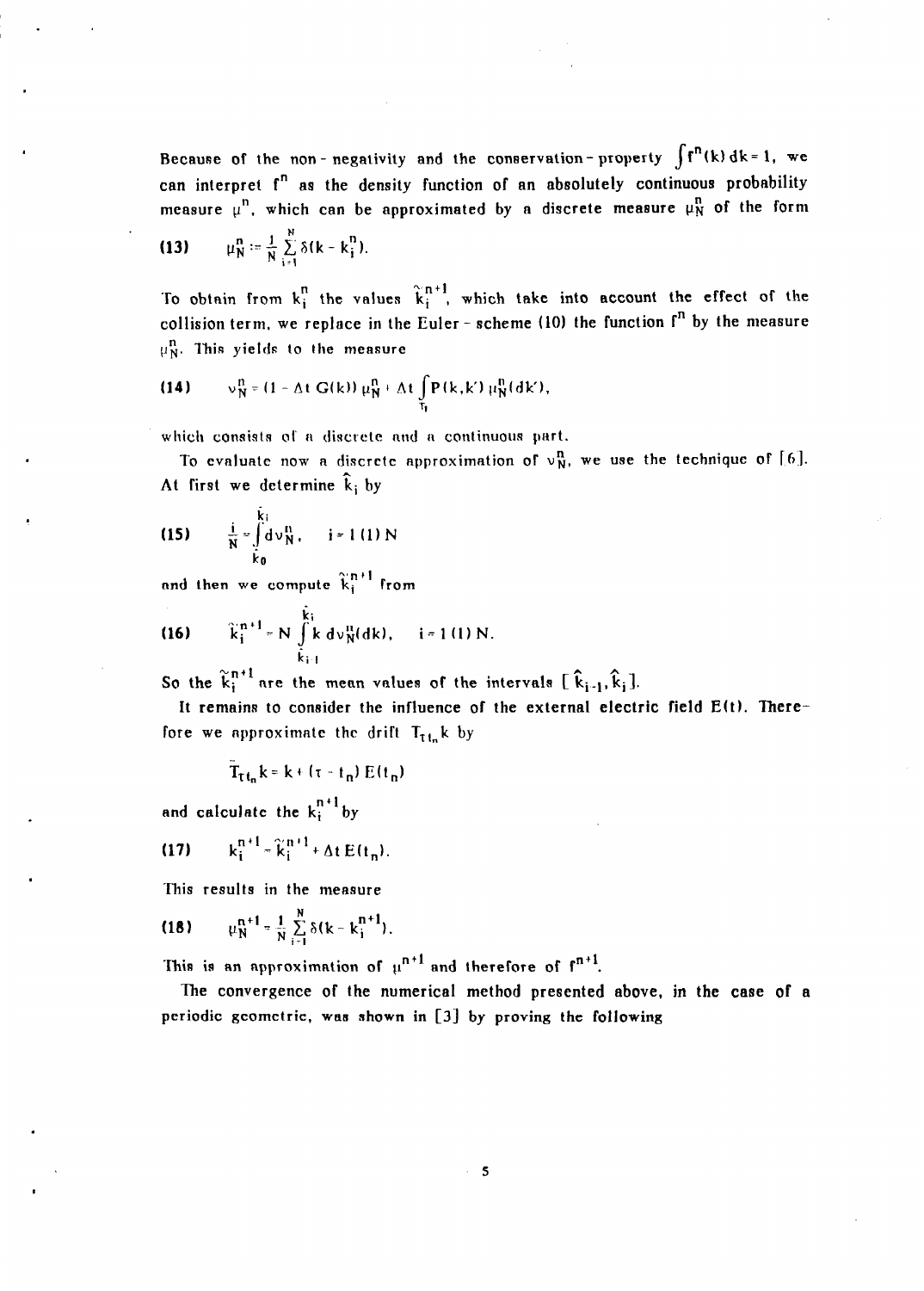Because of the non-negativity and the conservation-property  $\int f^{n}(k) dk = 1$ , we can interpret f<sup>n</sup> as the density function of an absolutely continuous probability measure  $\mu^n$ , which can be approximated by a discrete measure  $\mu^n$  of the form

(13) 
$$
\mu_N^n := \frac{1}{N} \sum_{i=1}^N \delta(k - k_i^n).
$$

To obtain from  $k_i^n$  the values  $\hat{k}_i^{n+1}$ , which take into account the effect of the collision term, we replace in the Euler - scheme (10) the function  $f^n$  by the measure  $\mu_N^n$ . This yields to the measure

(14) 
$$
v_N^n = (1 - \Delta t \ G(k)) \mu_N^n + \Delta t \int_{\tau_1} P(k, k') \mu_N^n(dk'),
$$

which consists of a discrete and a continuous part.

To evaluate now a discrete approximation of  $v_N^n$ , we use the technique of [6]. At first we determine  $\hat{k}_i$  by

(15) 
$$
\frac{i}{N} = \int_{\tilde{K}_0}^{\tilde{K}_1} d\nu_N^n
$$
,  $i = 1$  (1) N

and then we compute  $\widetilde{k}_{i}^{n+1}$  from

(16) 
$$
\widetilde{k}_i^{n+1} = N \int_{\widetilde{k}_{i-1}}^{\widetilde{k}_i} k \, d\nu_N^n(dk), \quad i = 1 (1) N.
$$

So the  $\tilde{k}_i^{n+1}$  are the mean values of the intervals  $[\hat{k}_{i-1}, \hat{k}_i]$ .

It remains to consider the influence of the external electric field E(t). Therefore we approximate the drift  $T_{th}$ k by

$$
T_{\tau t_n}k = k + (\tau - t_n) E(t_n)
$$

and calculate the  $k_i^{n+1}$  by

$$
(17) \qquad k_i^{n+1} = \tilde{k}_i^{n+1} + \Delta t E(t_n).
$$

This results in the measure

(18) 
$$
\mu_N^{n+1} = \frac{1}{N} \sum_{i=1}^N \delta(k - k_i^{n+1}).
$$

This is an approximation of  $\mu^{n+1}$  and therefore of  $f^{n+1}$ .

The convergence of the numerical method presented above, in the case of a periodic geometrie, was shown in [3] by proving the following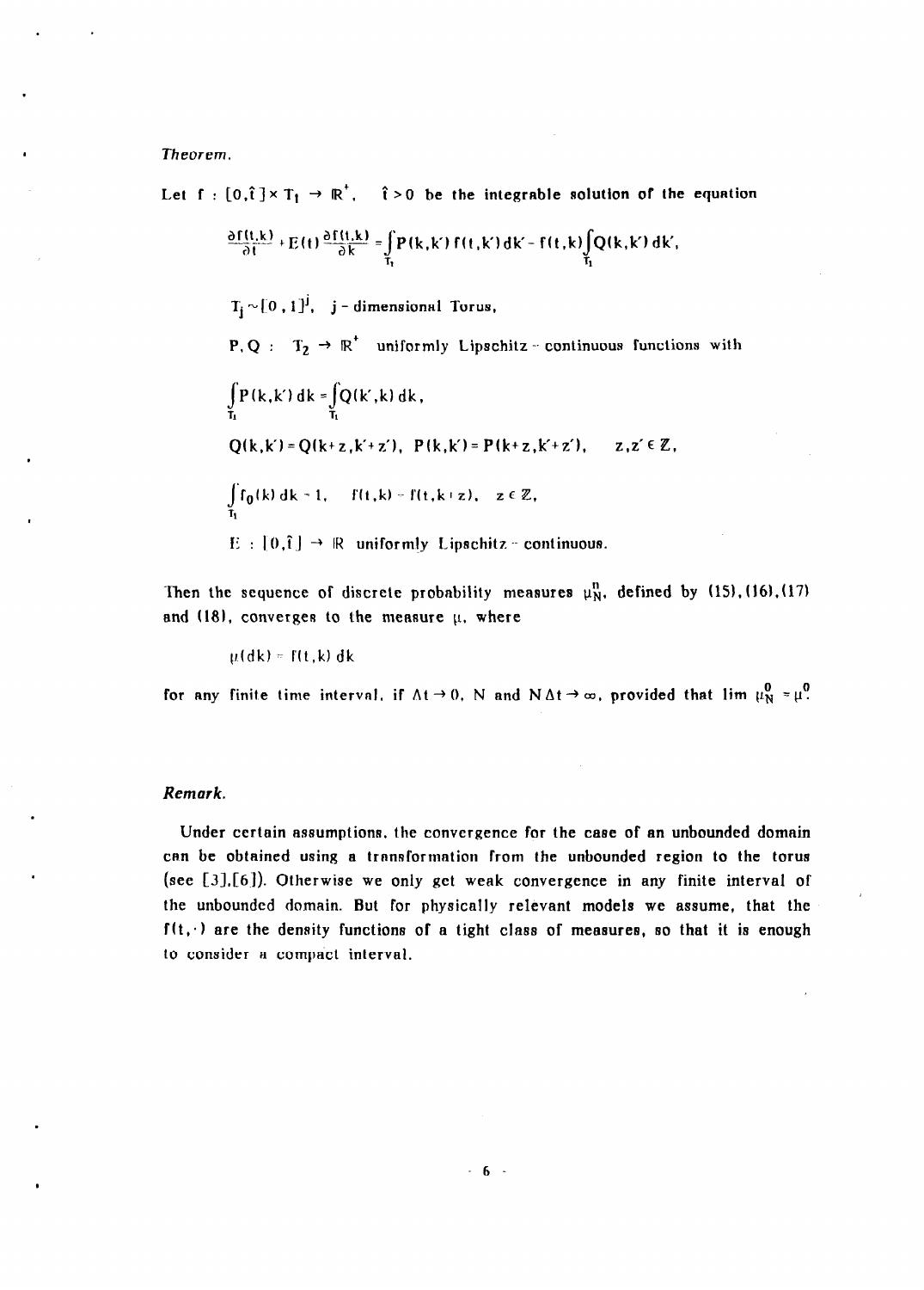Theorem.

Let  $f : [0,\hat{i}] \times T_1 \rightarrow \mathbb{R}^7$ ,  $\hat{i} > 0$  be the integrable solution of the equation

$$
\frac{\partial f(t,k)}{\partial t} + E(t) \frac{\partial f(t,k)}{\partial k} = \int_{T_1} P(k,k') f(t,k') dk - f(t,k) \int_{T_1} Q(k,k') dk',
$$

 $T_i \sim [0, 1]^j$ , j - dimensional Torus,

P, Q:  $T_2 \rightarrow \mathbb{R}^+$  uniformly Lipschitz - continuous functions with

$$
\int_{T_1} P(k, k') dk = \int_{T_1} Q(k', k) dk,
$$
  
Q(k, k') = Q(k+z, k'+z'), P(k, k') = P(k+z, k+z'), z, z' \in Z,  

$$
\int_{T_1} f_0(k) dk - 1, \quad f(t, k) = f(t, k+z), z \in Z,
$$
  
E : [0,î]  $\rightarrow$  R uniformly Lipschitz - continuous.

Then the sequence of discrete probability measures  $\mu_N^n$ , defined by (15), (16), (17) and (18), converges to the measure  $\mu$ , where

 $\mu$ (dk) =  $f(t, k)$  dk

for any finite time interval, if  $\Delta t \rightarrow 0$ , N and  $N \Delta t \rightarrow \infty$ , provided that lim  $\mu_N^0 = \mu^0$ .

#### Remark.

Under certain assumptions, the convergence for the case of an unbounded domain can be obtained using a transformation from the unbounded region to the torus (see  $[3],[6]$ ). Otherwise we only get weak convergence in any finite interval of the unbounded domain. But for physically relevant models we assume, that the  $f(t, \cdot)$  are the density functions of a tight class of measures, so that it is enough to consider a compact interval.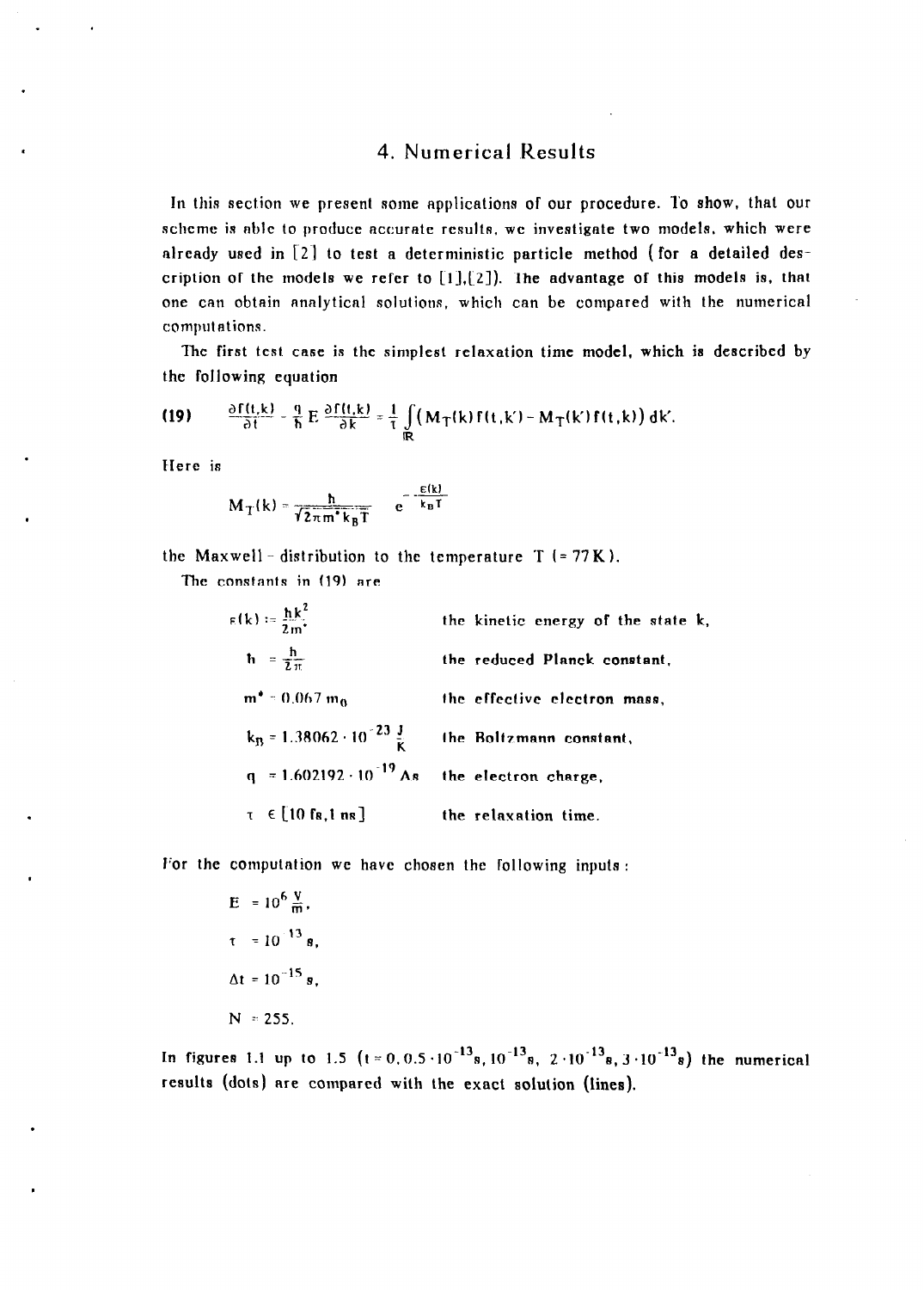#### 4. Numerical Results

In this section we present some applications of our procedure. To show, that our scheme is able to produce accurate results, we investigate two models, which were already used in  $\lceil 2 \rceil$  to test a deterministic particle method (for a detailed description of the models we refer to  $[1]$ , $[2]$ ). The advantage of this models is, that one can obtain analytical solutions, which can be compared with the numerical computations.

The first test case is the simplest relaxation time model, which is described by the following equation

(19) 
$$
\frac{\partial f(t,k)}{\partial t} - \frac{q}{h} E \frac{\partial f(t,k)}{\partial k} = \frac{1}{\tau} \int_{\mathbb{R}} (M_T(k) f(t,k) - M_T(k') f(t,k)) \, dk.
$$

Here is

$$
M_T(k) = \frac{\hbar}{\sqrt{2\pi m^* k_B T}} = e^{-\frac{E(k)}{k_B T}}
$$

the Maxwell - distribution to the temperature  $T (= 77K)$ .

The constants in (19) are

| $f(k) = \frac{\hbar k^2}{2m^*}$                       | the kinetic energy of the state k, |
|-------------------------------------------------------|------------------------------------|
| $\hbar = \frac{\hbar}{2 \pi}$                         | the reduced Planck constant,       |
| $m^* = 0.067 m_0$                                     | the effective electron mass,       |
| $k_B = 1.38062 \cdot 10^{-23} \frac{J}{K}$            | the Boltzmann constant,            |
| $q = 1.602192 \cdot 10^{-19}$ As the electron charge, |                                    |
| $\tau \in [10 \text{ fs}, 1 \text{ ns}]$              | the relaxation time.               |

I'or the computation we have chosen the following inputs :

E = 
$$
10^6 \frac{V}{m}
$$
,  
\n $\tau = 10^{-13} s$ ,  
\n $\Delta t = 10^{-15} s$ ,  
\nN = 255.

In figures 1.1 up to 1.5 ( $t = 0.0.5 \cdot 10^{-13}$ s  $10^{-13}$ s 2  $\cdot 10^{-13}$ s 3  $\cdot 10^{-13}$ s) the numeric results (dots) are compared with the exact solution (lines).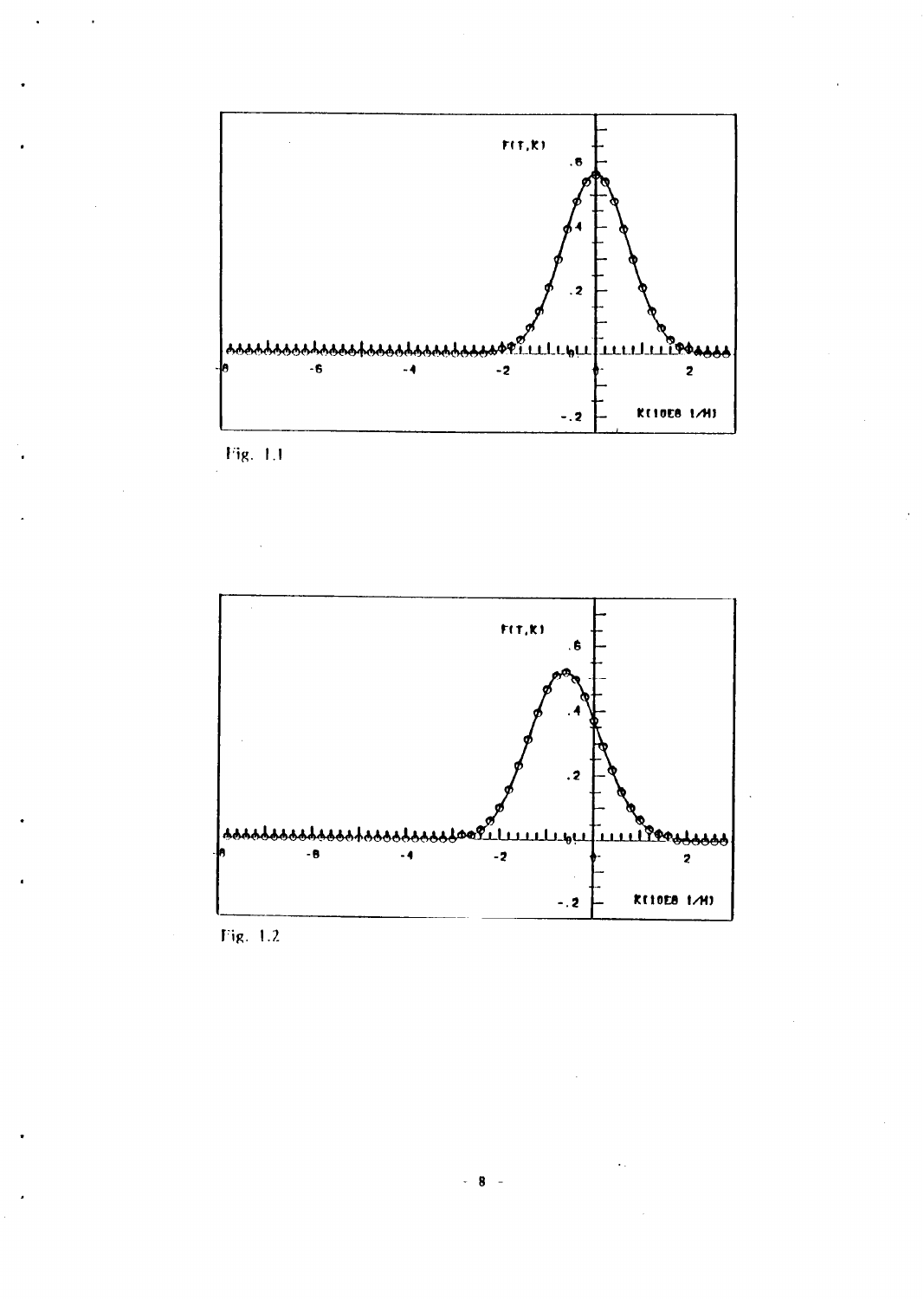

Fig. 1.1



 $Fig. 1.2$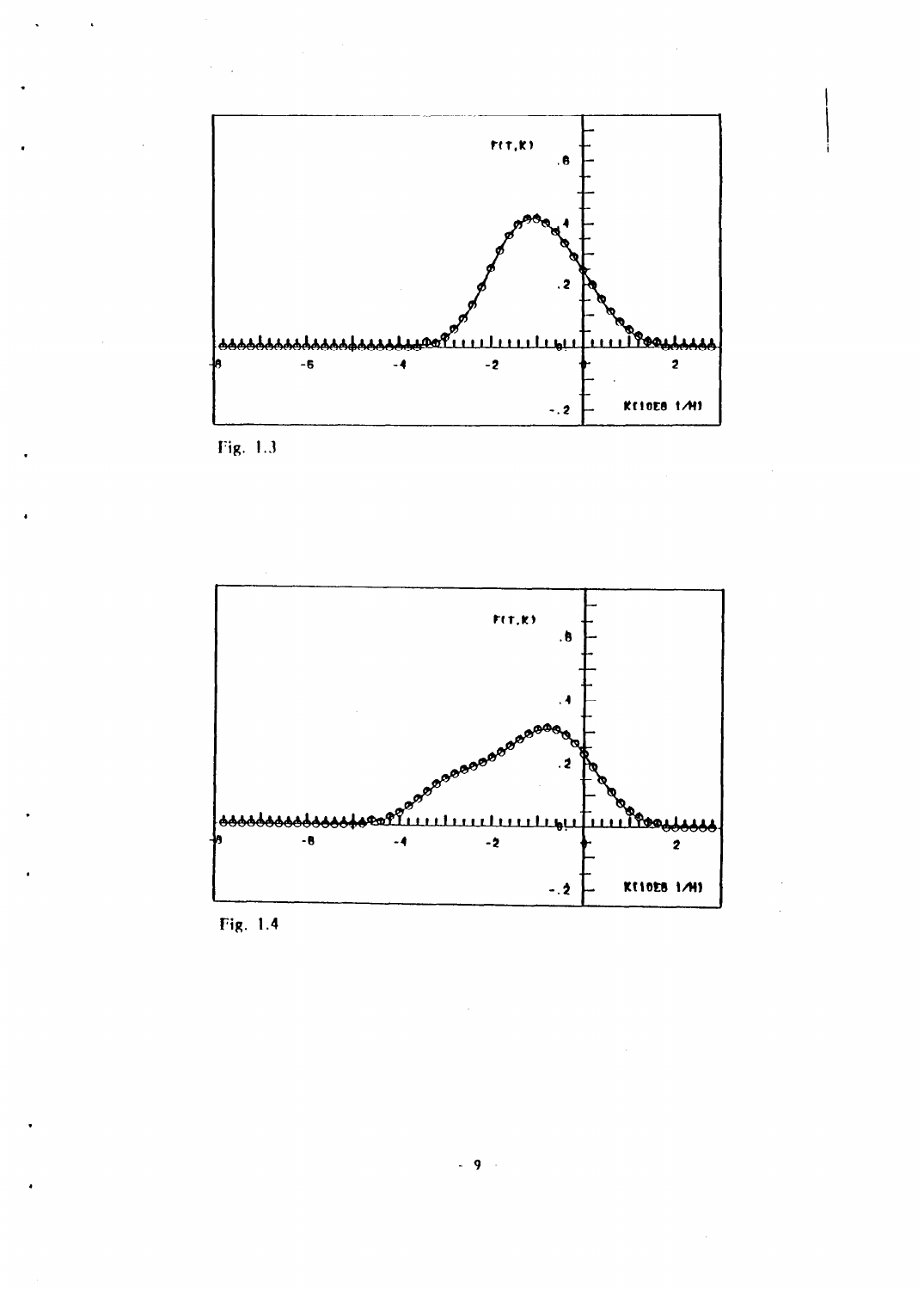

Fig. 1.3

,

.



Fig. 1.4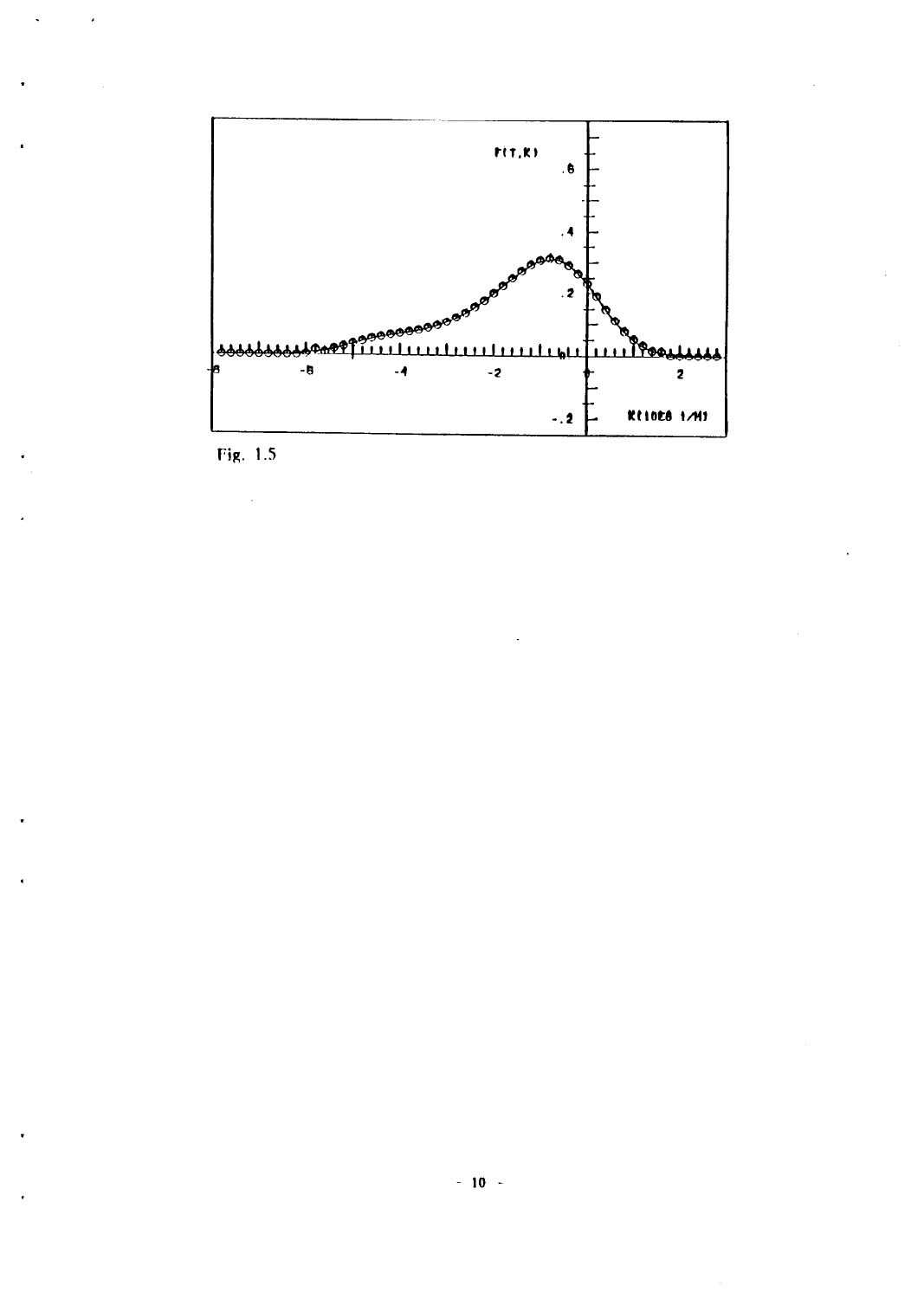

Fig.  $1.5$ 

 $\mathcal{A}^{\mathcal{A}}$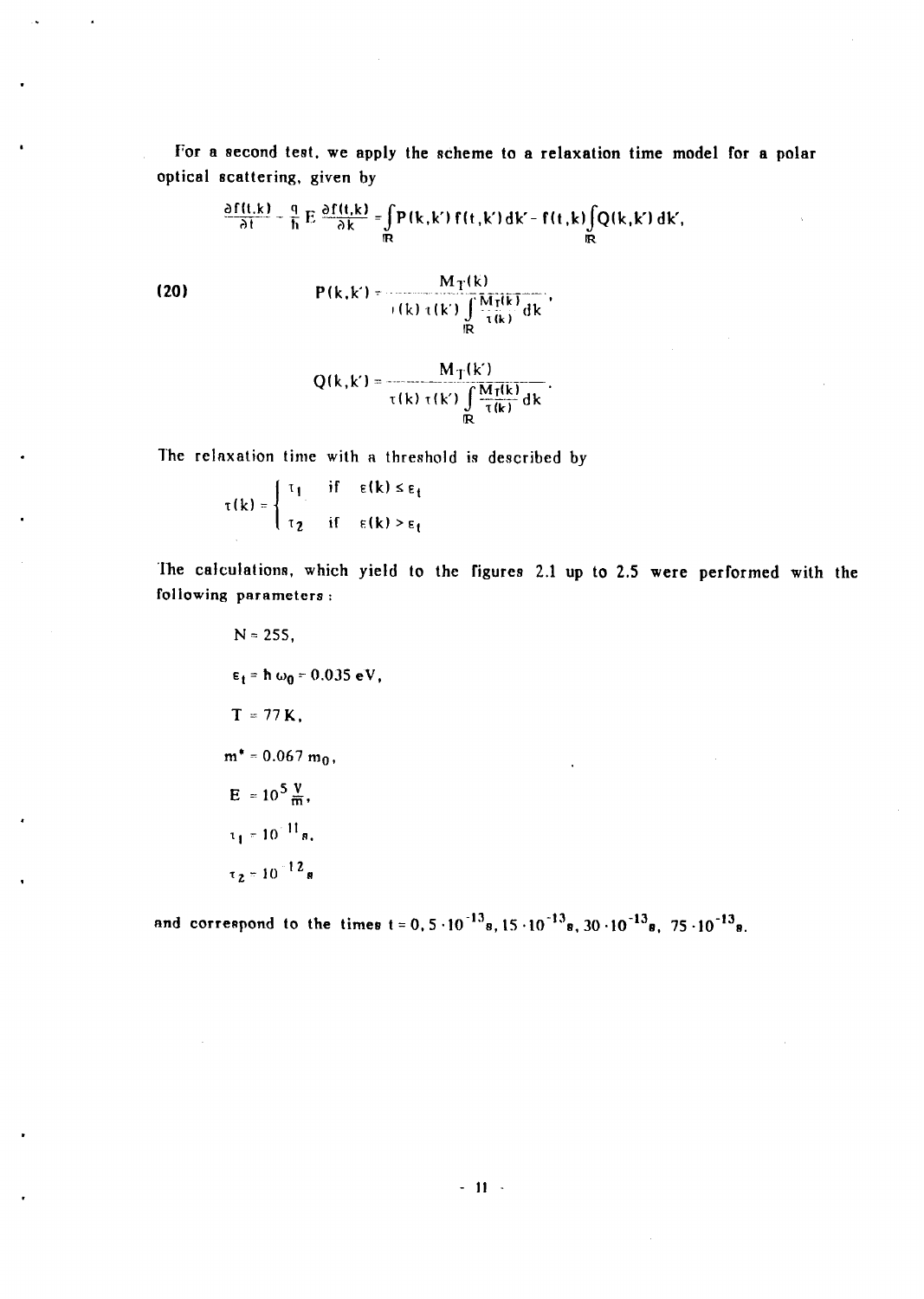For a second test, we apply the scheme to a relaxation time model for a polar optical scattering, given by

$$
\frac{\partial f(t,k)}{\partial t} - \frac{q}{h} E \frac{\partial f(t,k)}{\partial k} = \int_{\mathbb{R}} P(k,k') f(t,k') dk' - f(t,k) \int_{\mathbb{R}} Q(k,k') dk',
$$
\n(20) 
$$
P(k,k') = \frac{M_T(k)}{f(k) \tau(k') \int_{\mathbb{R}} M_T(k)} dk'
$$

$$
Q(k,k') = \frac{M_T(k')}{\tau(k) \tau(k') \int_{\mathbb{R}} \frac{M_T(k)}{\tau(k)} dk}.
$$

The relaxation time with a threshold is described by

 $\tau(k) = \begin{cases} \tau_1 & \text{if} \quad \varepsilon(k) \leq \varepsilon_1 \\ \tau_2 & \text{if} \quad \varepsilon(k) > \varepsilon_1 \end{cases}$ 

The calculations, which yield to the figures 2.1 up to 2.5 were performed with the following parameters:

$$
N = 255,
$$
  
\n
$$
\epsilon_t = \hbar \omega_0 = 0.035 \text{ eV}
$$
  
\n
$$
T = 77 \text{ K},
$$
  
\n
$$
m^* = 0.067 \text{ m}_0,
$$
  
\n
$$
E = 10^5 \frac{\text{V}}{\text{m}},
$$
  
\n
$$
\tau_1 = 10^{-11} \text{ s},
$$
  
\n
$$
\tau_2 = 10^{-12} \text{ s}
$$

and correspond to the times  $t = 0.5 \cdot 10^{-13} s. 15 \cdot 10^{-13} s. 30 \cdot 10^{-13} s. 75 \cdot 10^{-13} s.$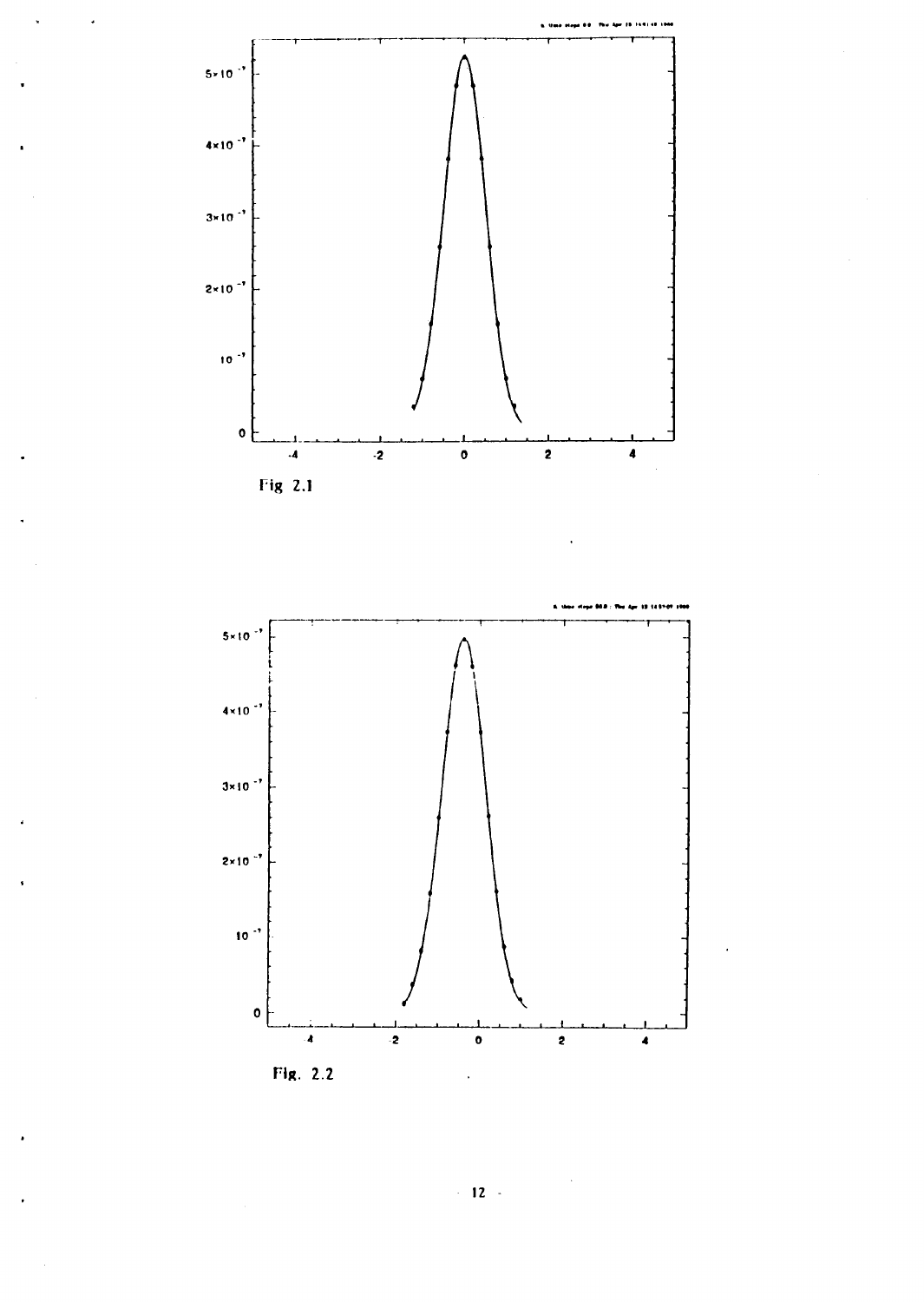



Fig. 2.2

 $\langle \cdot \rangle$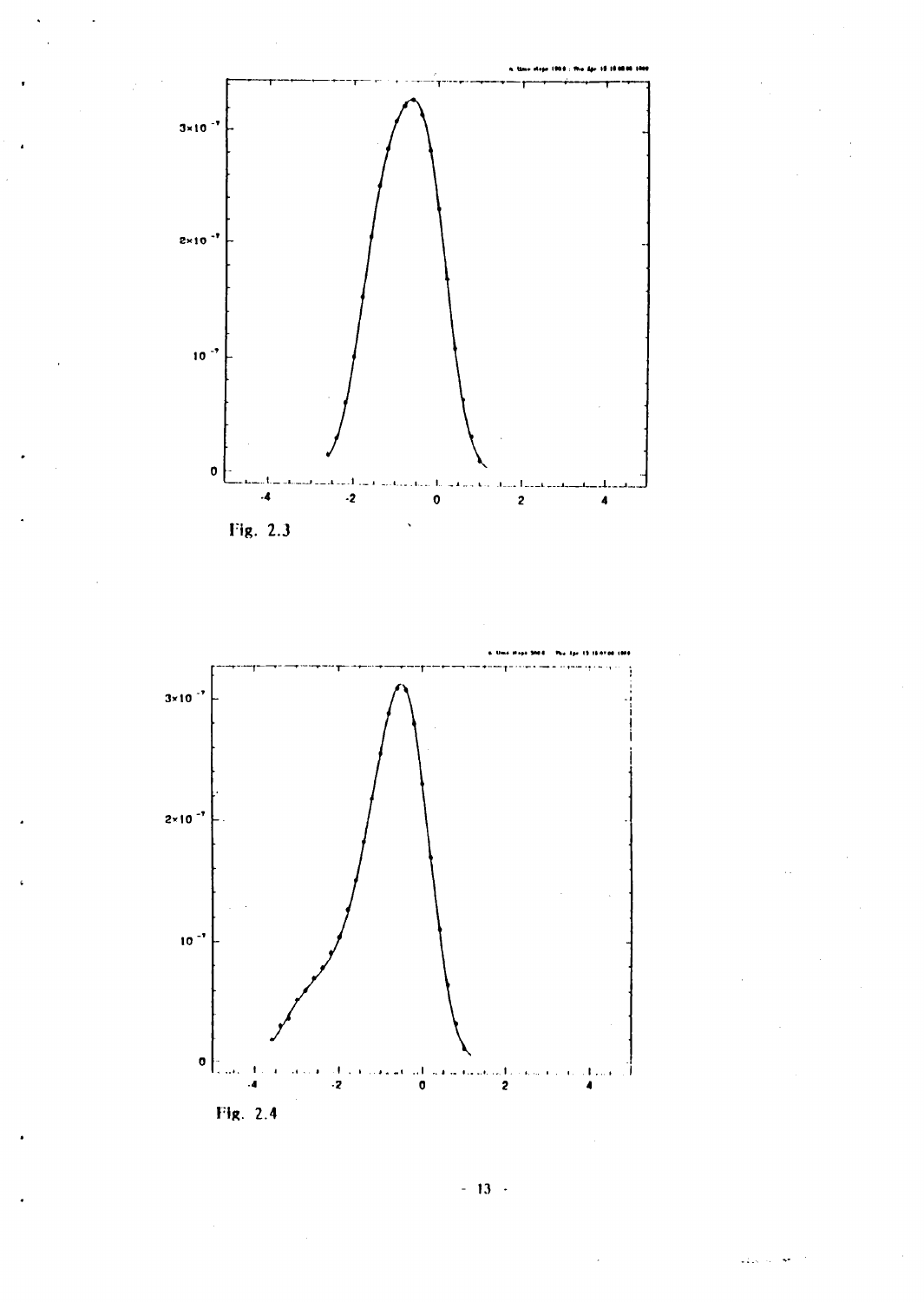



 $-13$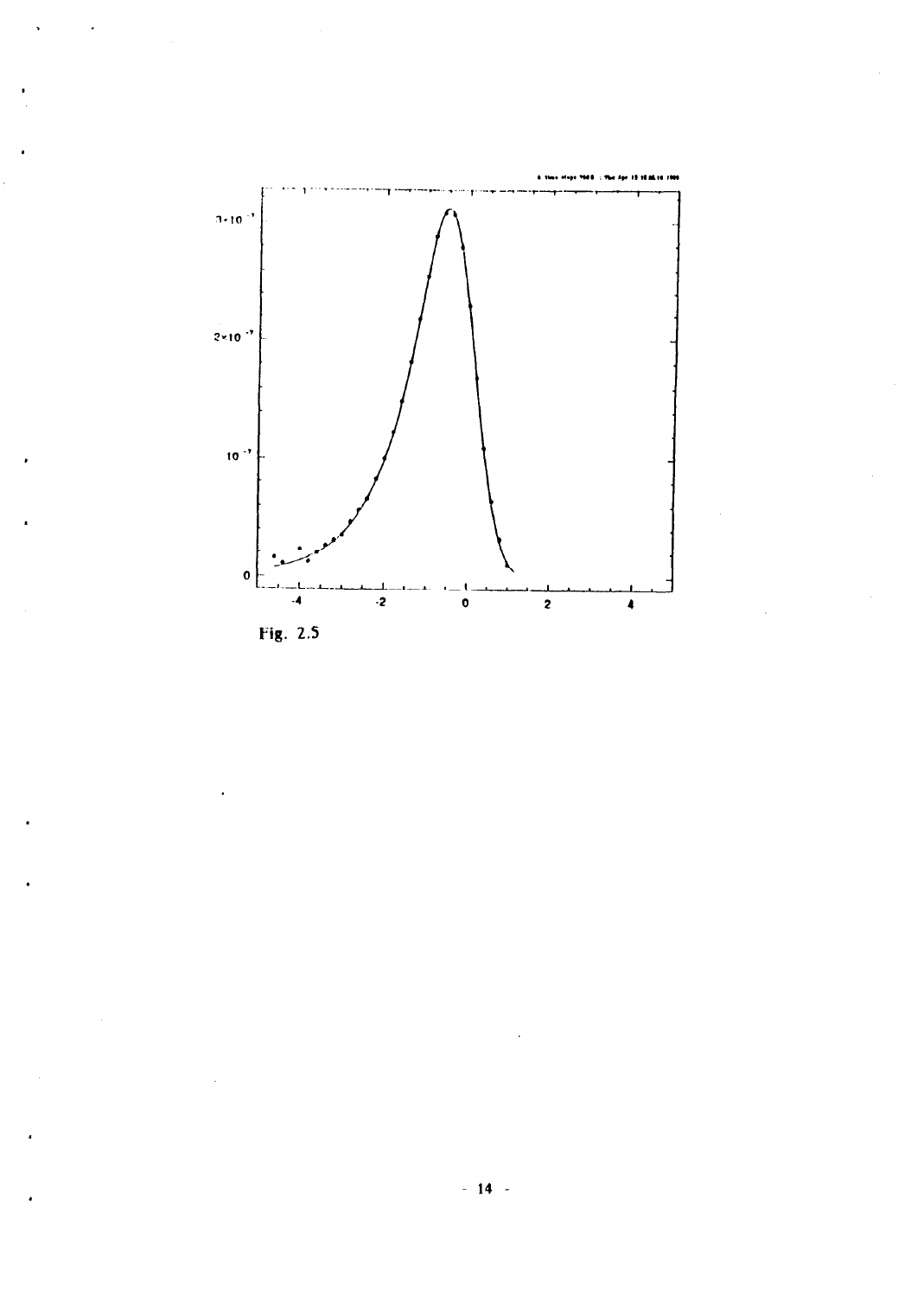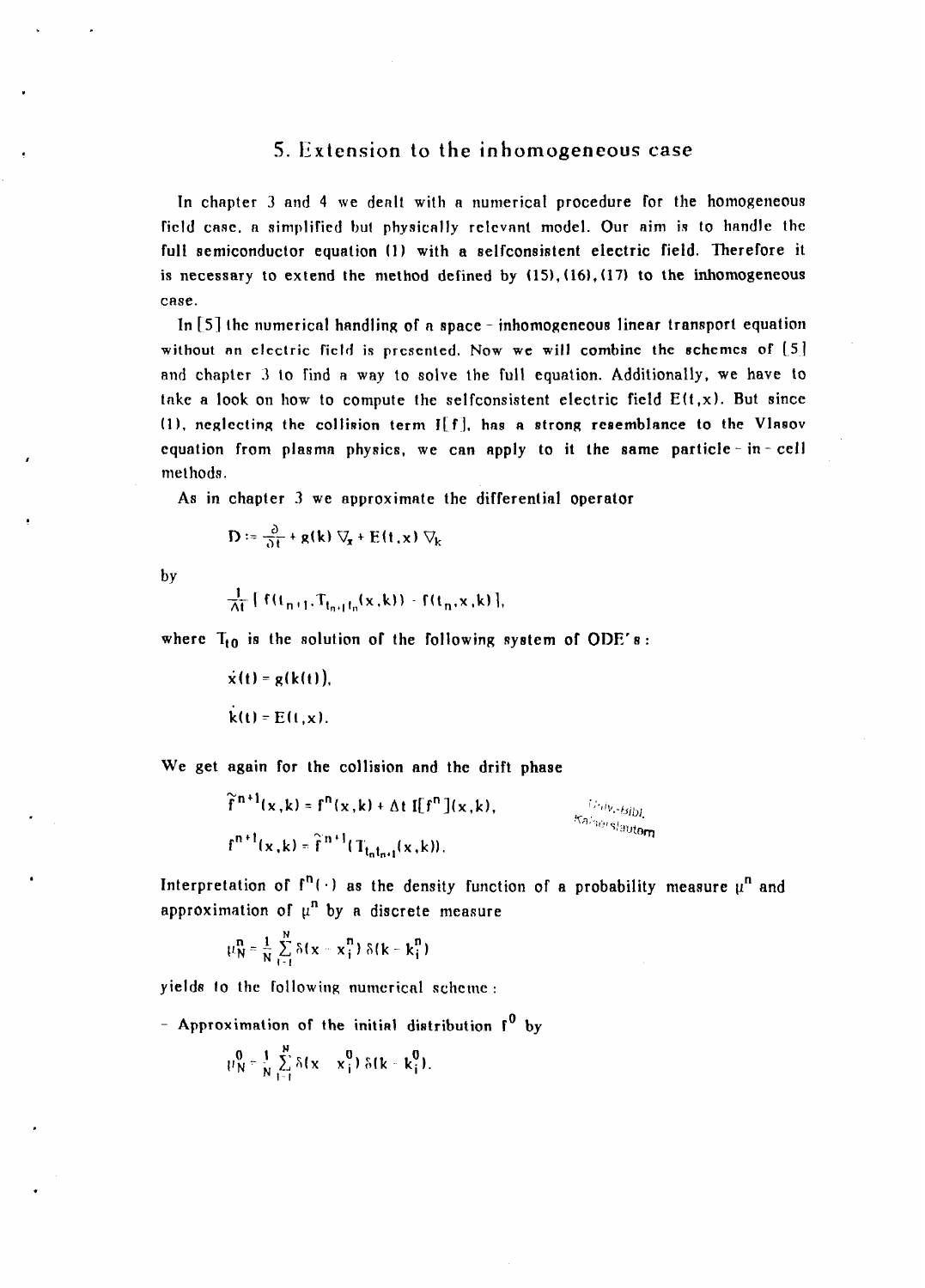#### 5. Extension to the inhomogeneous case

In chapter 3 and 4 we dealt with a numerical procedure for the homogeneous field case, a simplified but physically relevant model. Our aim is to handle the full semiconductor equation (1) with a selfconsistent electric field. Therefore it is necessary to extend the method defined by  $(15)$ ,  $(16)$ ,  $(17)$  to the inhomogeneous case.

In [5] the numerical handling of a space - inhomogeneous linear transport equation without an electric field is presented. Now we will combine the schemes of  $[5]$ and chapler 3 to find a way to solve the full equation. Additionally, we have to take a look on how to compute the selfconsistent electric field  $E(t, x)$ . But since  $(1)$ , neglecting the collision term  $I[f]$ , has a strong resemblance to the Vlasov equation from plasma physics, we can apply to it the same particle - in - cell methods.

As in chapter 3 we approximate the differential operator

$$
\mathbf{D} := \frac{\partial}{\partial t} + \mathbf{g}(\mathbf{k}) \nabla_{\mathbf{x}} + \mathbf{E}(\mathbf{t}, \mathbf{x}) \nabla_{\mathbf{k}}
$$

by

$$
\frac{1}{\Delta t} [f(t_{n+1}, T_{t_{n+1}t_n}(x, k)) - f(t_n, x, k)],
$$

where  $T_{t0}$  is the solution of the following system of ODE's:

 $\dot{x}(t) = g(k(t)),$  $k(t) = E(t, x)$ .

We get again for the collision and the drift phase

$$
\widetilde{f}^{n+1}(\mathbf{x}, \mathbf{k}) = f^{n}(\mathbf{x}, \mathbf{k}) + \Delta t \, \mathbf{I}[f^{n}](\mathbf{x}, \mathbf{k}),
$$
\n
$$
f^{n+1}(\mathbf{x}, \mathbf{k}) = \widetilde{f}^{n+1}(T_{1-t-1}(\mathbf{x}, \mathbf{k})).
$$
\n
$$
f^{n+1}(\mathbf{x}, \mathbf{k}) = \widetilde{f}^{n+1}(\mathbf{x}, \mathbf{k}).
$$

Interpretation of  $f^{n}(\cdot)$  as the density function of a probability measure  $\mu^{n}$  and approximation of  $\mu^n$  by a discrete measure

$$
\mu_N^n = \frac{1}{N}\sum_{i=1}^N \delta(\mathbf{x}-\mathbf{x}_i^n) \; \delta(k-k_i^n)
$$

yields to the following numerical scheme :

- Approximation of the initial distribution  $f^0$  by

$$
\mu_N^0 = \frac{1}{N} \sum_{i=1}^N \delta(x - x_i^0) \delta(k - k_i^0).
$$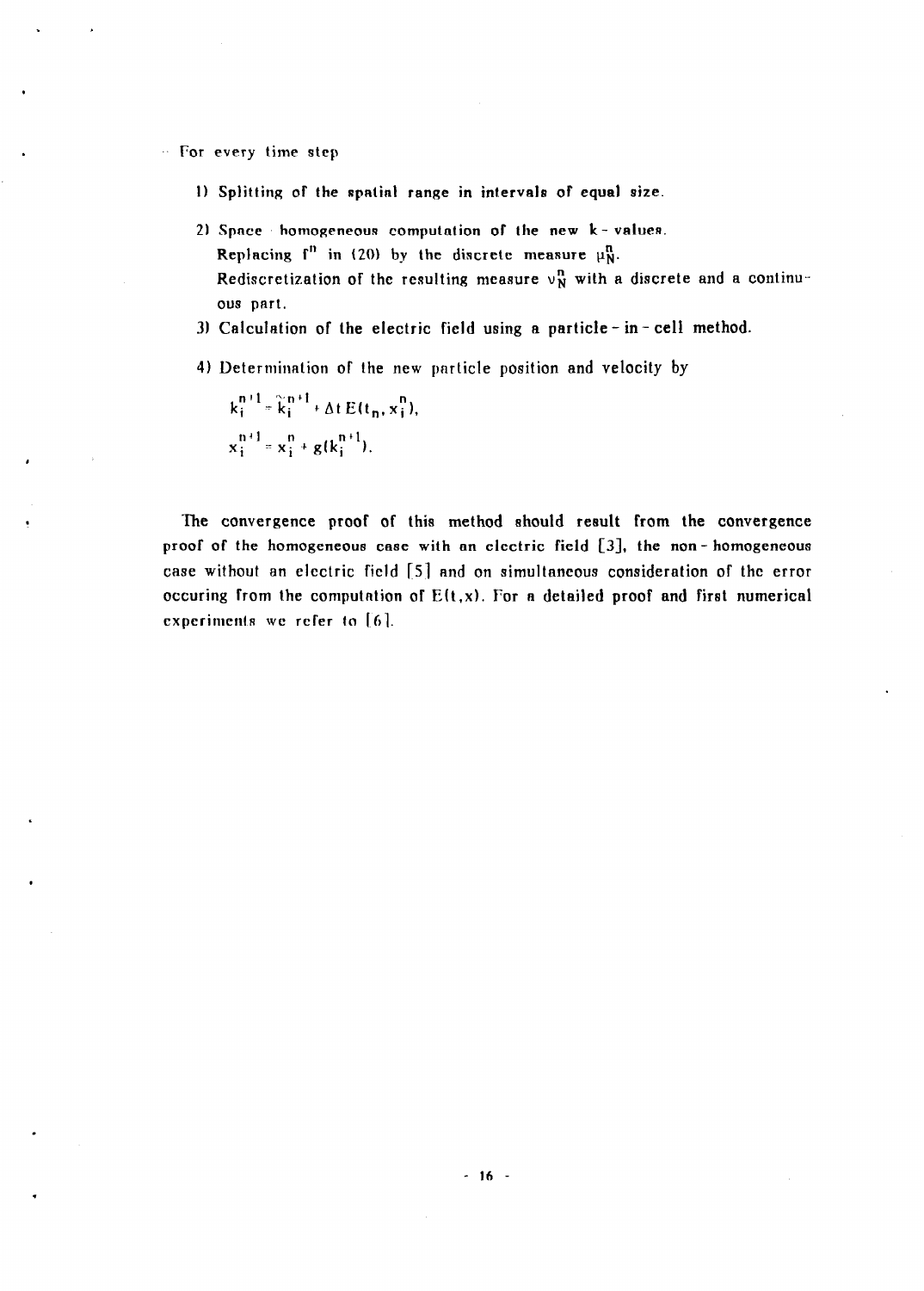For every time step

- 1) Splitting of the spatial range in intervals of equal size.
- 2) Space homogeneous computation of the new k-values. Replacing  $f^n$  in (20) by the discrete measure  $\mu_N^n$ . Rediscretization of the resulting measure  $v_N^n$  with a discrete and a continuous part.
- 3) Calculation of the electric field using a particle in- cell method.
- 4) Determination of the new particle position and velocity by

 $k_i^{n+1} = k_i^{n+1} + \Delta t E(t_n, x_i^n),$  $x_1^{n+1} = x_2^{n} + g(k_1^{n+1}).$ 

. The convergence proof of this method should reeult from the convergence proof' of the homogeneous case with an electric field [3], the non- homogeneous case without an electric field [s] and on simultaneous consideration of the error occuring from the computation of  $E(t, x)$ . For a detailed proof and first numerical experiments we refer to  $[6]$ .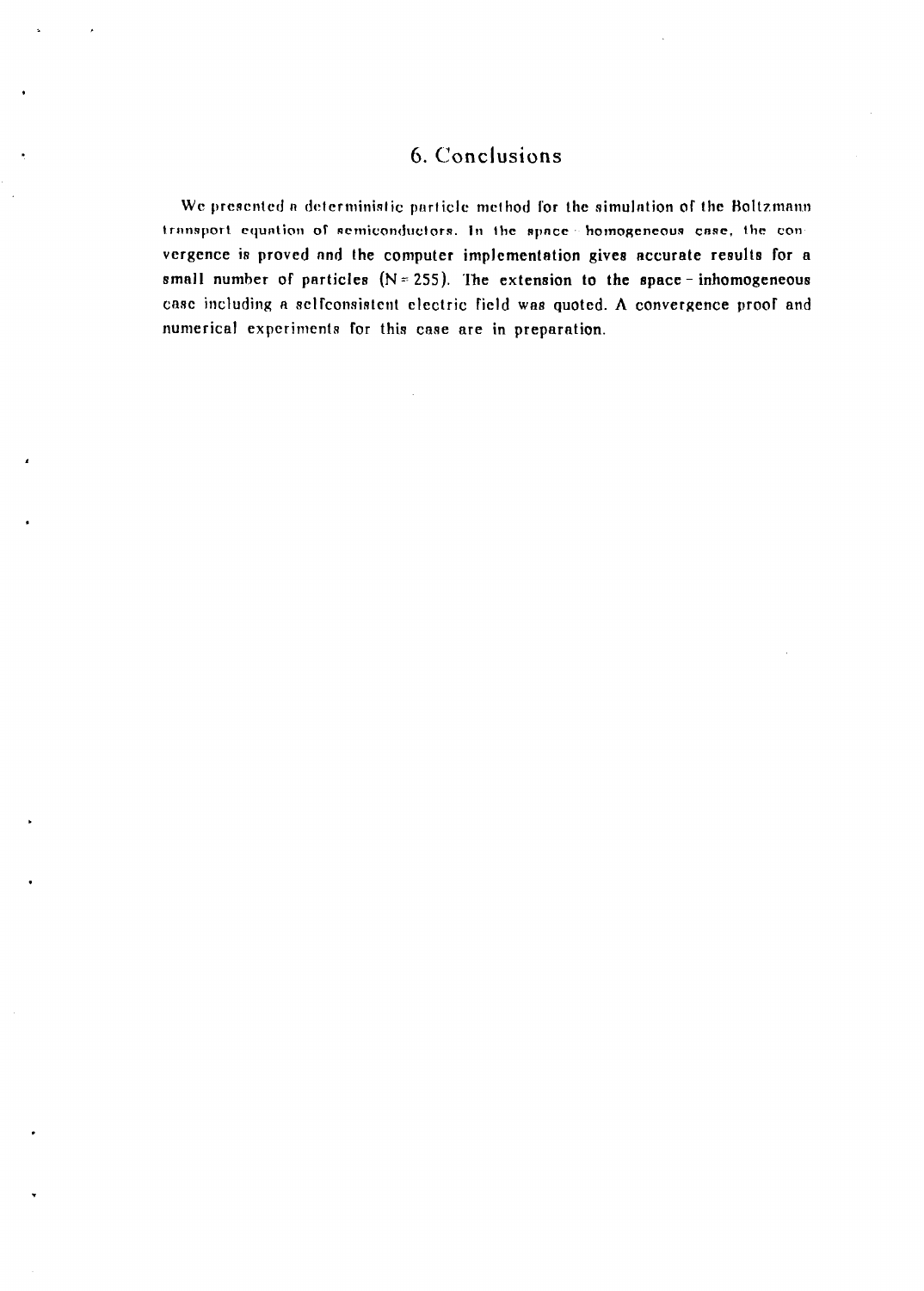# 6. Conclusions

We presented a deterministic particle method for the simulation of the Boltzmann transport equation of semiconductors. In the space homogeneous case, the convergence is proved and the computer implementation gives accurate results for a small number of particles  $(N = 255)$ . The extension to the space-inhomogeneous case including a selfconsistent electric field was quoted. A convergence proof and numerical experiments for this case are in preparation.

 $\overline{\phantom{a}}$